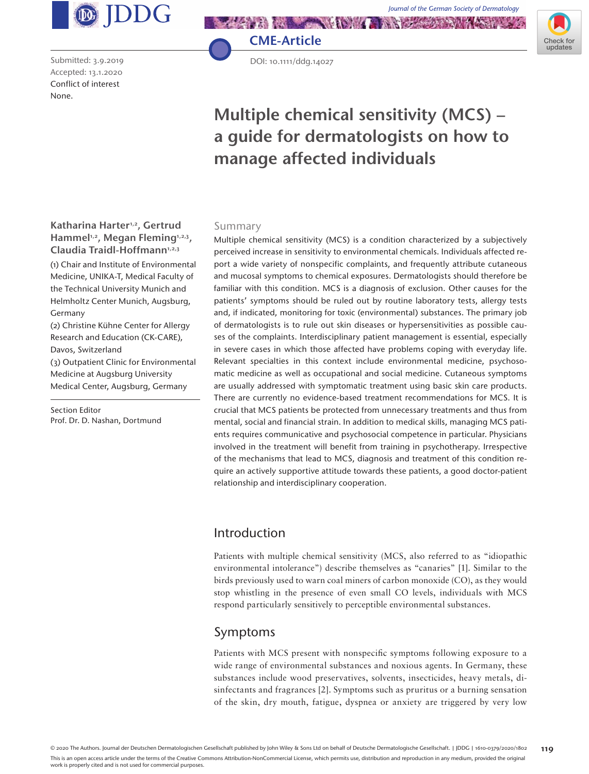

Submitted: 3.9.2019 Accepted: 13.1.2020 Conflict of interest None.





DOI: 10.1111/ddg.14027

CME-Article

# **Multiple chemical sensitivity (MCS) – a guide for dermatologists on how to manage affected individuals**

### Katharina Harter<sup>1,2</sup>, Gertrud Hammel<sup>1,2</sup>, Megan Fleming<sup>1,2,3</sup>, Claudia Traidl-Hoffmann<sup>1,2,3</sup>

(1) Chair and Institute of Environmental Medicine, UNIKA-T, Medical Faculty of the Technical University Munich and Helmholtz Center Munich, Augsburg, Germany

(2) Christine Kühne Center for Allergy Research and Education (CK-CARE), Davos, Switzerland

(3) Outpatient Clinic for Environmental Medicine at Augsburg University Medical Center, Augsburg, Germany

Section Editor Prof. Dr. D. Nashan, Dortmund

#### Summary

Multiple chemical sensitivity (MCS) is a condition characterized by a subjectively perceived increase in sensitivity to environmental chemicals. Individuals affected report a wide variety of nonspecific complaints, and frequently attribute cutaneous and mucosal symptoms to chemical exposures. Dermatologists should therefore be familiar with this condition. MCS is a diagnosis of exclusion. Other causes for the patients' symptoms should be ruled out by routine laboratory tests, allergy tests and, if indicated, monitoring for toxic (environmental) substances. The primary job of dermatologists is to rule out skin diseases or hypersensitivities as possible causes of the complaints. Interdisciplinary patient management is essential, especially in severe cases in which those affected have problems coping with everyday life. Relevant specialties in this context include environmental medicine, psychosomatic medicine as well as occupational and social medicine. Cutaneous symptoms are usually addressed with symptomatic treatment using basic skin care products. There are currently no evidence-based treatment recommendations for MCS. It is crucial that MCS patients be protected from unnecessary treatments and thus from mental, social and financial strain. In addition to medical skills, managing MCS patients requires communicative and psychosocial competence in particular. Physicians involved in the treatment will benefit from training in psychotherapy. Irrespective of the mechanisms that lead to MCS, diagnosis and treatment of this condition require an actively supportive attitude towards these patients, a good doctor-patient relationship and interdisciplinary cooperation.

# Introduction

Patients with multiple chemical sensitivity (MCS, also referred to as "idiopathic environmental intolerance") describe themselves as "canaries" [1]. Similar to the birds previously used to warn coal miners of carbon monoxide (CO), as they would stop whistling in the presence of even small CO levels, individuals with MCS respond particularly sensitively to perceptible environmental substances.

# Symptoms

Patients with MCS present with nonspecific symptoms following exposure to a wide range of environmental substances and noxious agents. In Germany, these substances include wood preservatives, solvents, insecticides, heavy metals, disinfectants and fragrances [2]. Symptoms such as pruritus or a burning sensation of the skin, dry mouth, fatigue, dyspnea or anxiety are triggered by very low

© 2020 The Authors. Journal der Deutschen Dermatologischen Gesellschaft published by John Wiley & Sons Ltd on behalf of Deutsche Dermatologische Gesellschaft. | JDDG | 1610-0379/2020/1802 119 This is an open access article under the terms of the Creative Commons Attribution-NonCommercial License, which permits use, distribution and reproduction in any medium, provided the original work is properly cited and is not used for commercial purposes.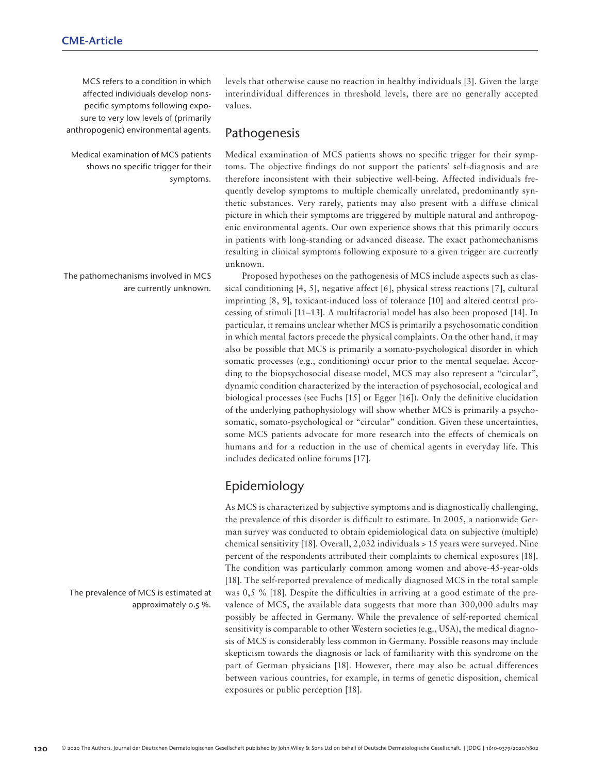MCS refers to a condition in which affected individuals develop nonspecific symptoms following exposure to very low levels of (primarily anthropogenic) environmental agents.

Medical examination of MCS patients shows no specific trigger for their symptoms.

The pathomechanisms involved in MCS are currently unknown.

The prevalence of MCS is estimated at approximately 0.5 %.

levels that otherwise cause no reaction in healthy individuals [3]. Given the large interindividual differences in threshold levels, there are no generally accepted values.

### Pathogenesis

Medical examination of MCS patients shows no specific trigger for their symptoms. The objective findings do not support the patients' self-diagnosis and are therefore inconsistent with their subjective well-being. Affected individuals frequently develop symptoms to multiple chemically unrelated, predominantly synthetic substances. Very rarely, patients may also present with a diffuse clinical picture in which their symptoms are triggered by multiple natural and anthropogenic environmental agents. Our own experience shows that this primarily occurs in patients with long-standing or advanced disease. The exact pathomechanisms resulting in clinical symptoms following exposure to a given trigger are currently unknown.

Proposed hypotheses on the pathogenesis of MCS include aspects such as classical conditioning [4, 5], negative affect [6], physical stress reactions [7], cultural imprinting [8, 9], toxicant-induced loss of tolerance [10] and altered central processing of stimuli [11–13]. A multifactorial model has also been proposed [14]. In particular, it remains unclear whether MCS is primarily a psychosomatic condition in which mental factors precede the physical complaints. On the other hand, it may also be possible that MCS is primarily a somato-psychological disorder in which somatic processes (e.g., conditioning) occur prior to the mental sequelae. According to the biopsychosocial disease model, MCS may also represent a "circular", dynamic condition characterized by the interaction of psychosocial, ecological and biological processes (see Fuchs [15] or Egger [16]). Only the definitive elucidation of the underlying pathophysiology will show whether MCS is primarily a psychosomatic, somato-psychological or "circular" condition. Given these uncertainties, some MCS patients advocate for more research into the effects of chemicals on humans and for a reduction in the use of chemical agents in everyday life. This includes dedicated online forums [17].

# Epidemiology

As MCS is characterized by subjective symptoms and is diagnostically challenging, the prevalence of this disorder is difficult to estimate. In 2005, a nationwide German survey was conducted to obtain epidemiological data on subjective (multiple) chemical sensitivity [18]. Overall, 2,032 individuals > 15 years were surveyed. Nine percent of the respondents attributed their complaints to chemical exposures [18]. The condition was particularly common among women and above-45-year-olds [18]. The self-reported prevalence of medically diagnosed MCS in the total sample was 0,5 % [18]. Despite the difficulties in arriving at a good estimate of the prevalence of MCS, the available data suggests that more than 300,000 adults may possibly be affected in Germany. While the prevalence of self-reported chemical sensitivity is comparable to other Western societies (e.g., USA), the medical diagnosis of MCS is considerably less common in Germany. Possible reasons may include skepticism towards the diagnosis or lack of familiarity with this syndrome on the part of German physicians [18]. However, there may also be actual differences between various countries, for example, in terms of genetic disposition, chemical exposures or public perception [18].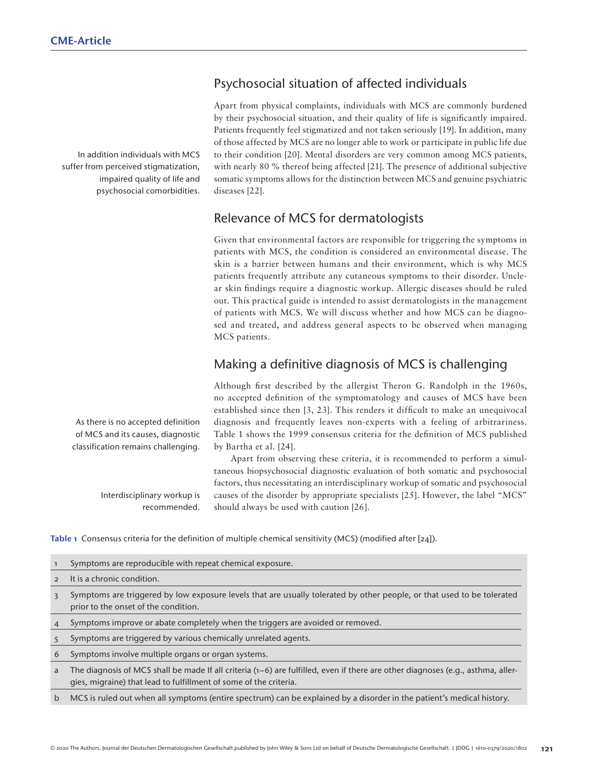In addition individuals with MCS suffer from perceived stigmatization, impaired quality of life and psychosocial comorbidities.

As there is no accepted definition of MCS and its causes, diagnostic classification remains challenging.

> Interdisciplinary workup is recommended.

Psychosocial situation of affected individuals

Apart from physical complaints, individuals with MCS are commonly burdened by their psychosocial situation, and their quality of life is significantly impaired. Patients frequently feel stigmatized and not taken seriously [19]. In addition, many of those affected by MCS are no longer able to work or participate in public life due to their condition [20]. Mental disorders are very common among MCS patients, with nearly 80 % thereof being affected [21]. The presence of additional subjective somatic symptoms allows for the distinction between MCS and genuine psychiatric diseases [22].

## Relevance of MCS for dermatologists

Given that environmental factors are responsible for triggering the symptoms in patients with MCS, the condition is considered an environmental disease. The skin is a barrier between humans and their environment, which is why MCS patients frequently attribute any cutaneous symptoms to their disorder. Unclear skin findings require a diagnostic workup. Allergic diseases should be ruled out. This practical guide is intended to assist dermatologists in the management of patients with MCS. We will discuss whether and how MCS can be diagnosed and treated, and address general aspects to be observed when managing MCS patients.

## Making a definitive diagnosis of MCS is challenging

Although first described by the allergist Theron G. Randolph in the 1960s, no accepted definition of the symptomatology and causes of MCS have been established since then [3, 23]. This renders it difficult to make an unequivocal diagnosis and frequently leaves non-experts with a feeling of arbitrariness. Table 1 shows the 1999 consensus criteria for the definition of MCS published by Bartha et al. [24].

Apart from observing these criteria, it is recommended to perform a simultaneous biopsychosocial diagnostic evaluation of both somatic and psychosocial factors, thus necessitating an interdisciplinary workup of somatic and psychosocial causes of the disorder by appropriate specialists [25]. However, the label "MCS" should always be used with caution [26].

Table 1 Consensus criteria for the definition of multiple chemical sensitivity (MCS) (modified after [24]).

|                | Symptoms are reproducible with repeat chemical exposure.                                                                                                                                               |
|----------------|--------------------------------------------------------------------------------------------------------------------------------------------------------------------------------------------------------|
| $\mathcal{P}$  | It is a chronic condition.                                                                                                                                                                             |
| $\mathcal{E}$  | Symptoms are triggered by low exposure levels that are usually tolerated by other people, or that used to be tolerated<br>prior to the onset of the condition.                                         |
| $\overline{4}$ | Symptoms improve or abate completely when the triggers are avoided or removed.                                                                                                                         |
|                | Symptoms are triggered by various chemically unrelated agents.                                                                                                                                         |
| 6              | Symptoms involve multiple organs or organ systems.                                                                                                                                                     |
| a              | The diagnosis of MCS shall be made If all criteria $(1-6)$ are fulfilled, even if there are other diagnoses (e.g., asthma, aller-<br>gies, migraine) that lead to fulfillment of some of the criteria. |
| b.             | MCS is ruled out when all symptoms (entire spectrum) can be explained by a disorder in the patient's medical history.                                                                                  |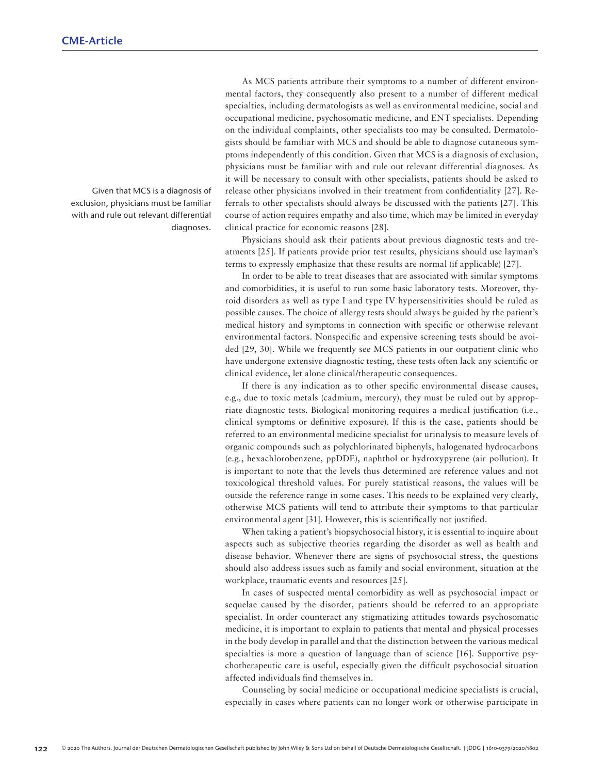Given that MCS is a diagnosis of exclusion, physicians must be familiar with and rule out relevant differential diagnoses.

As MCS patients attribute their symptoms to a number of different environmental factors, they consequently also present to a number of different medical specialties, including dermatologists as well as environmental medicine, social and occupational medicine, psychosomatic medicine, and ENT specialists. Depending on the individual complaints, other specialists too may be consulted. Dermatologists should be familiar with MCS and should be able to diagnose cutaneous symptoms independently of this condition. Given that MCS is a diagnosis of exclusion, physicians must be familiar with and rule out relevant differential diagnoses. As it will be necessary to consult with other specialists, patients should be asked to release other physicians involved in their treatment from confidentiality [27]. Referrals to other specialists should always be discussed with the patients [27]. This course of action requires empathy and also time, which may be limited in everyday clinical practice for economic reasons [28].

Physicians should ask their patients about previous diagnostic tests and treatments [25]. If patients provide prior test results, physicians should use layman's terms to expressly emphasize that these results are normal (if applicable) [27].

In order to be able to treat diseases that are associated with similar symptoms and comorbidities, it is useful to run some basic laboratory tests. Moreover, thyroid disorders as well as type I and type IV hypersensitivities should be ruled as possible causes. The choice of allergy tests should always be guided by the patient's medical history and symptoms in connection with specific or otherwise relevant environmental factors. Nonspecific and expensive screening tests should be avoided [29, 30]. While we frequently see MCS patients in our outpatient clinic who have undergone extensive diagnostic testing, these tests often lack any scientific or clinical evidence, let alone clinical/therapeutic consequences.

If there is any indication as to other specific environmental disease causes, e.g., due to toxic metals (cadmium, mercury), they must be ruled out by appropriate diagnostic tests. Biological monitoring requires a medical justification (i.e., clinical symptoms or definitive exposure). If this is the case, patients should be referred to an environmental medicine specialist for urinalysis to measure levels of organic compounds such as polychlorinated biphenyls, halogenated hydrocarbons (e.g., hexachlorobenzene, ppDDE), naphthol or hydroxypyrene (air pollution). It is important to note that the levels thus determined are reference values and not toxicological threshold values. For purely statistical reasons, the values will be outside the reference range in some cases. This needs to be explained very clearly, otherwise MCS patients will tend to attribute their symptoms to that particular environmental agent [31]. However, this is scientifically not justified.

When taking a patient's biopsychosocial history, it is essential to inquire about aspects such as subjective theories regarding the disorder as well as health and disease behavior. Whenever there are signs of psychosocial stress, the questions should also address issues such as family and social environment, situation at the workplace, traumatic events and resources [25].

In cases of suspected mental comorbidity as well as psychosocial impact or sequelae caused by the disorder, patients should be referred to an appropriate specialist. In order counteract any stigmatizing attitudes towards psychosomatic medicine, it is important to explain to patients that mental and physical processes in the body develop in parallel and that the distinction between the various medical specialties is more a question of language than of science [16]. Supportive psychotherapeutic care is useful, especially given the difficult psychosocial situation affected individuals find themselves in.

Counseling by social medicine or occupational medicine specialists is crucial, especially in cases where patients can no longer work or otherwise participate in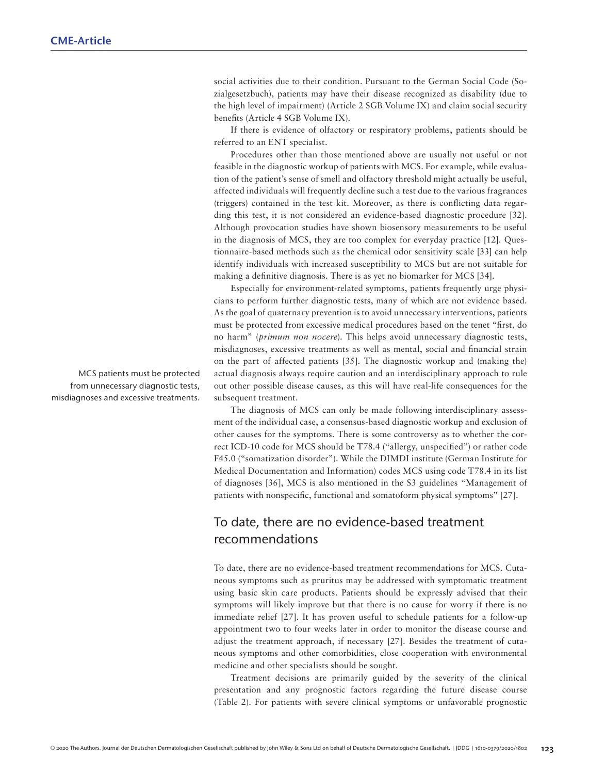MCS patients must be protected from unnecessary diagnostic tests, misdiagnoses and excessive treatments.

social activities due to their condition. Pursuant to the German Social Code (Sozialgesetzbuch), patients may have their disease recognized as disability (due to the high level of impairment) (Article 2 SGB Volume IX) and claim social security benefits (Article 4 SGB Volume IX).

If there is evidence of olfactory or respiratory problems, patients should be referred to an ENT specialist.

Procedures other than those mentioned above are usually not useful or not feasible in the diagnostic workup of patients with MCS. For example, while evaluation of the patient's sense of smell and olfactory threshold might actually be useful, affected individuals will frequently decline such a test due to the various fragrances (triggers) contained in the test kit. Moreover, as there is conflicting data regarding this test, it is not considered an evidence-based diagnostic procedure [32]. Although provocation studies have shown biosensory measurements to be useful in the diagnosis of MCS, they are too complex for everyday practice [12]. Questionnaire-based methods such as the chemical odor sensitivity scale [33] can help identify individuals with increased susceptibility to MCS but are not suitable for making a definitive diagnosis. There is as yet no biomarker for MCS [34].

Especially for environment-related symptoms, patients frequently urge physicians to perform further diagnostic tests, many of which are not evidence based. As the goal of quaternary prevention is to avoid unnecessary interventions, patients must be protected from excessive medical procedures based on the tenet "first, do no harm" (*primum non nocere*). This helps avoid unnecessary diagnostic tests, misdiagnoses, excessive treatments as well as mental, social and financial strain on the part of affected patients [35]. The diagnostic workup and (making the) actual diagnosis always require caution and an interdisciplinary approach to rule out other possible disease causes, as this will have real-life consequences for the subsequent treatment.

The diagnosis of MCS can only be made following interdisciplinary assessment of the individual case, a consensus-based diagnostic workup and exclusion of other causes for the symptoms. There is some controversy as to whether the correct ICD-10 code for MCS should be T78.4 ("allergy, unspecified") or rather code F45.0 ("somatization disorder"). While the DIMDI institute (German Institute for Medical Documentation and Information) codes MCS using code T78.4 in its list of diagnoses [36], MCS is also mentioned in the S3 guidelines "Management of patients with nonspecific, functional and somatoform physical symptoms" [27].

# To date, there are no evidence-based treatment recommendations

To date, there are no evidence-based treatment recommendations for MCS. Cutaneous symptoms such as pruritus may be addressed with symptomatic treatment using basic skin care products. Patients should be expressly advised that their symptoms will likely improve but that there is no cause for worry if there is no immediate relief [27]. It has proven useful to schedule patients for a follow-up appointment two to four weeks later in order to monitor the disease course and adjust the treatment approach, if necessary [27]. Besides the treatment of cutaneous symptoms and other comorbidities, close cooperation with environmental medicine and other specialists should be sought.

Treatment decisions are primarily guided by the severity of the clinical presentation and any prognostic factors regarding the future disease course (Table 2). For patients with severe clinical symptoms or unfavorable prognostic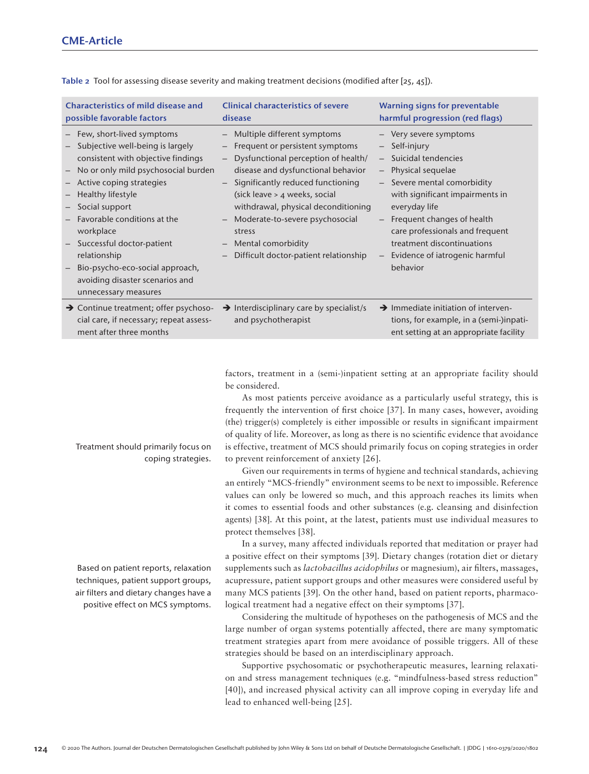| <b>Characteristics of mild disease and</b><br>possible favorable factors                                                                                                                                                                                                                                                                                                                                                                                     | <b>Clinical characteristics of severe</b><br>disease                                                                                                                                                                                                                                                                                                                                                                                                         | <b>Warning signs for preventable</b><br>harmful progression (red flags)                                                                                                                                                                                                                                                        |
|--------------------------------------------------------------------------------------------------------------------------------------------------------------------------------------------------------------------------------------------------------------------------------------------------------------------------------------------------------------------------------------------------------------------------------------------------------------|--------------------------------------------------------------------------------------------------------------------------------------------------------------------------------------------------------------------------------------------------------------------------------------------------------------------------------------------------------------------------------------------------------------------------------------------------------------|--------------------------------------------------------------------------------------------------------------------------------------------------------------------------------------------------------------------------------------------------------------------------------------------------------------------------------|
| Few, short-lived symptoms<br>$\overline{\phantom{0}}$<br>Subjective well-being is largely<br>consistent with objective findings<br>No or only mild psychosocial burden<br>Active coping strategies<br>$\overline{\phantom{0}}$<br>Healthy lifestyle<br>Social support<br>Favorable conditions at the<br>workplace<br>Successful doctor-patient<br>relationship<br>Bio-psycho-eco-social approach,<br>avoiding disaster scenarios and<br>unnecessary measures | Multiple different symptoms<br>$\overline{\phantom{m}}$<br>Frequent or persistent symptoms<br>$\overline{\phantom{m}}$<br>Dysfunctional perception of health/<br>$\overline{\phantom{m}}$<br>disease and dysfunctional behavior<br>- Significantly reduced functioning<br>(sick leave $>$ 4 weeks, social<br>withdrawal, physical deconditioning<br>Moderate-to-severe psychosocial<br>stress<br>Mental comorbidity<br>Difficult doctor-patient relationship | - Very severe symptoms<br>$-$ Self-injury<br>Suicidal tendencies<br>$-$<br>- Physical sequelae<br>- Severe mental comorbidity<br>with significant impairments in<br>everyday life<br>Frequent changes of health<br>care professionals and frequent<br>treatment discontinuations<br>Evidence of iatrogenic harmful<br>behavior |
| $\rightarrow$ Continue treatment; offer psychoso-<br>cial care, if necessary; repeat assess-<br>ment after three months                                                                                                                                                                                                                                                                                                                                      | $\rightarrow$ Interdisciplinary care by specialist/s<br>and psychotherapist                                                                                                                                                                                                                                                                                                                                                                                  | $\rightarrow$ Immediate initiation of interven-<br>tions, for example, in a (semi-)inpati-<br>ent setting at an appropriate facility                                                                                                                                                                                           |

Table 2 Tool for assessing disease severity and making treatment decisions (modified after [25, 45]).

factors, treatment in a (semi-)inpatient setting at an appropriate facility should be considered.

As most patients perceive avoidance as a particularly useful strategy, this is frequently the intervention of first choice [37]. In many cases, however, avoiding (the) trigger(s) completely is either impossible or results in significant impairment of quality of life. Moreover, as long as there is no scientific evidence that avoidance is effective, treatment of MCS should primarily focus on coping strategies in order to prevent reinforcement of anxiety [26].

Given our requirements in terms of hygiene and technical standards, achieving an entirely "MCS-friendly" environment seems to be next to impossible. Reference values can only be lowered so much, and this approach reaches its limits when it comes to essential foods and other substances (e.g. cleansing and disinfection agents) [38]. At this point, at the latest, patients must use individual measures to protect themselves [38].

In a survey, many affected individuals reported that meditation or prayer had a positive effect on their symptoms [39]. Dietary changes (rotation diet or dietary supplements such as *lactobacillus acidophilus* or magnesium), air filters, massages, acupressure, patient support groups and other measures were considered useful by many MCS patients [39]. On the other hand, based on patient reports, pharmacological treatment had a negative effect on their symptoms [37].

Considering the multitude of hypotheses on the pathogenesis of MCS and the large number of organ systems potentially affected, there are many symptomatic treatment strategies apart from mere avoidance of possible triggers. All of these strategies should be based on an interdisciplinary approach.

Supportive psychosomatic or psychotherapeutic measures, learning relaxation and stress management techniques (e.g. "mindfulness-based stress reduction" [40]), and increased physical activity can all improve coping in everyday life and lead to enhanced well-being [25].

Treatment should primarily focus on coping strategies.

Based on patient reports, relaxation techniques, patient support groups, air filters and dietary changes have a positive effect on MCS symptoms.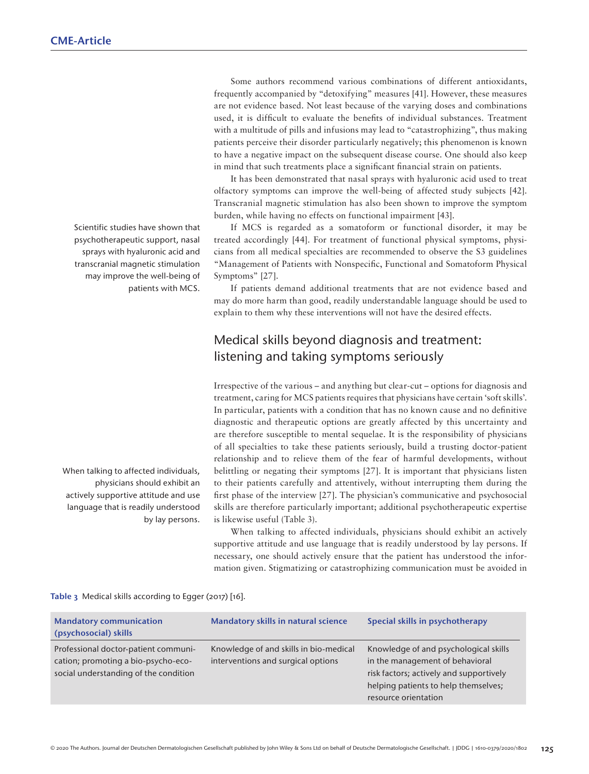Scientific studies have shown that psychotherapeutic support, nasal sprays with hyaluronic acid and transcranial magnetic stimulation may improve the well-being of patients with MCS.

When talking to affected individuals, physicians should exhibit an actively supportive attitude and use language that is readily understood by lay persons.

Some authors recommend various combinations of different antioxidants, frequently accompanied by "detoxifying" measures [41]. However, these measures are not evidence based. Not least because of the varying doses and combinations used, it is difficult to evaluate the benefits of individual substances. Treatment with a multitude of pills and infusions may lead to "catastrophizing", thus making patients perceive their disorder particularly negatively; this phenomenon is known to have a negative impact on the subsequent disease course. One should also keep in mind that such treatments place a significant financial strain on patients.

It has been demonstrated that nasal sprays with hyaluronic acid used to treat olfactory symptoms can improve the well-being of affected study subjects [42]. Transcranial magnetic stimulation has also been shown to improve the symptom burden, while having no effects on functional impairment [43].

If MCS is regarded as a somatoform or functional disorder, it may be treated accordingly [44]. For treatment of functional physical symptoms, physicians from all medical specialties are recommended to observe the S3 guidelines "Management of Patients with Nonspecific, Functional and Somatoform Physical Symptoms" [27].

If patients demand additional treatments that are not evidence based and may do more harm than good, readily understandable language should be used to explain to them why these interventions will not have the desired effects.

# Medical skills beyond diagnosis and treatment: listening and taking symptoms seriously

Irrespective of the various – and anything but clear-cut – options for diagnosis and treatment, caring for MCS patients requires that physicians have certain 'soft skills'. In particular, patients with a condition that has no known cause and no definitive diagnostic and therapeutic options are greatly affected by this uncertainty and are therefore susceptible to mental sequelae. It is the responsibility of physicians of all specialties to take these patients seriously, build a trusting doctor-patient relationship and to relieve them of the fear of harmful developments, without belittling or negating their symptoms [27]. It is important that physicians listen to their patients carefully and attentively, without interrupting them during the first phase of the interview [27]. The physician's communicative and psychosocial skills are therefore particularly important; additional psychotherapeutic expertise is likewise useful (Table 3).

When talking to affected individuals, physicians should exhibit an actively supportive attitude and use language that is readily understood by lay persons. If necessary, one should actively ensure that the patient has understood the information given. Stigmatizing or catastrophizing communication must be avoided in

Table 3 Medical skills according to Egger (2017) [16].

| <b>Mandatory communication</b><br>(psychosocial) skills                                                              | Mandatory skills in natural science                                          | Special skills in psychotherapy                                                                                                                                                     |
|----------------------------------------------------------------------------------------------------------------------|------------------------------------------------------------------------------|-------------------------------------------------------------------------------------------------------------------------------------------------------------------------------------|
| Professional doctor-patient communi-<br>cation; promoting a bio-psycho-eco-<br>social understanding of the condition | Knowledge of and skills in bio-medical<br>interventions and surgical options | Knowledge of and psychological skills<br>in the management of behavioral<br>risk factors; actively and supportively<br>helping patients to help themselves;<br>resource orientation |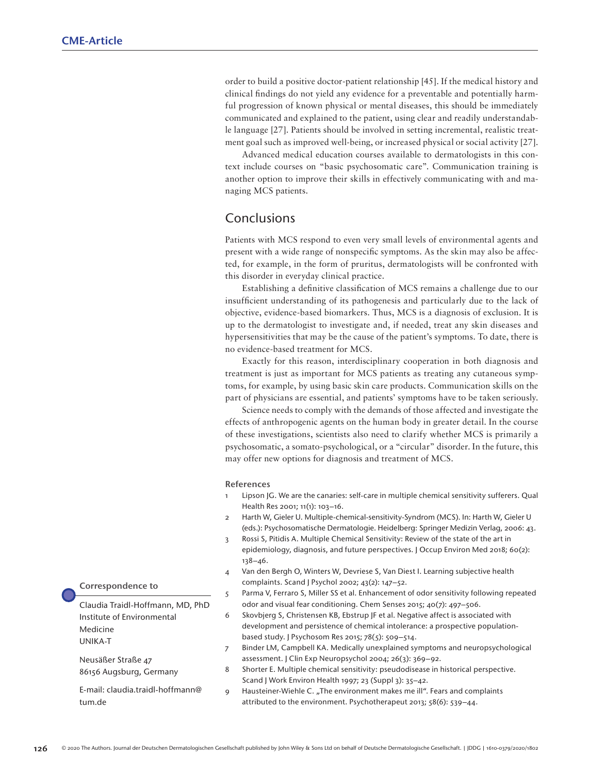order to build a positive doctor-patient relationship [45]. If the medical history and clinical findings do not yield any evidence for a preventable and potentially harmful progression of known physical or mental diseases, this should be immediately communicated and explained to the patient, using clear and readily understandable language [27]. Patients should be involved in setting incremental, realistic treatment goal such as improved well-being, or increased physical or social activity [27].

Advanced medical education courses available to dermatologists in this context include courses on "basic psychosomatic care". Communication training is another option to improve their skills in effectively communicating with and managing MCS patients.

### Conclusions

Patients with MCS respond to even very small levels of environmental agents and present with a wide range of nonspecific symptoms. As the skin may also be affected, for example, in the form of pruritus, dermatologists will be confronted with this disorder in everyday clinical practice.

Establishing a definitive classification of MCS remains a challenge due to our insufficient understanding of its pathogenesis and particularly due to the lack of objective, evidence-based biomarkers. Thus, MCS is a diagnosis of exclusion. It is up to the dermatologist to investigate and, if needed, treat any skin diseases and hypersensitivities that may be the cause of the patient's symptoms. To date, there is no evidence-based treatment for MCS.

Exactly for this reason, interdisciplinary cooperation in both diagnosis and treatment is just as important for MCS patients as treating any cutaneous symptoms, for example, by using basic skin care products. Communication skills on the part of physicians are essential, and patients' symptoms have to be taken seriously.

Science needs to comply with the demands of those affected and investigate the effects of anthropogenic agents on the human body in greater detail. In the course of these investigations, scientists also need to clarify whether MCS is primarily a psychosomatic, a somato-psychological, or a "circular" disorder. In the future, this may offer new options for diagnosis and treatment of MCS.

#### References

- 1 Lipson JG. We are the canaries: self-care in multiple chemical sensitivity sufferers. Qual Health Res 2001; 11(1): 103–16.
- 2 Harth W, Gieler U. Multiple-chemical-sensitivity-Syndrom (MCS). In: Harth W, Gieler U (eds.): Psychosomatische Dermatologie. Heidelberg: Springer Medizin Verlag, 2006: 43.
- 3 Rossi S, Pitidis A. Multiple Chemical Sensitivity: Review of the state of the art in epidemiology, diagnosis, and future perspectives. J Occup Environ Med 2018; 60(2): 138–46.
- 4 Van den Bergh O, Winters W, Devriese S, Van Diest I. Learning subjective health complaints. Scand | Psychol 2002;  $43(2)$ :  $147-52$ .
- 5 Parma V, Ferraro S, Miller SS et al. Enhancement of odor sensitivity following repeated odor and visual fear conditioning. Chem Senses 2015; 40(7): 497–506.
- 6 Skovbjerg S, Christensen KB, Ebstrup JF et al. Negative affect is associated with development and persistence of chemical intolerance: a prospective populationbased study. J Psychosom Res 2015; 78(5): 509–514.
- 7 Binder LM, Campbell KA. Medically unexplained symptoms and neuropsychological assessment. J Clin Exp Neuropsychol 2004; 26(3): 369–92.
- 8 Shorter E. Multiple chemical sensitivity: pseudodisease in historical perspective. Scand J Work Environ Health 1997; 23 (Suppl 3): 35-42.
- 9 Hausteiner-Wiehle C. "The environment makes me ill". Fears and complaints attributed to the environment. Psychotherapeut 2013; 58(6): 539–44.

### Correspondence to

Claudia Traidl-Hoffmann, MD, PhD Institute of Environmental Medicine UNIKA-T

Neusäßer Straße 47 86156 Augsburg, Germany

E-mail: claudia.traidl-hoffmann@ tum.de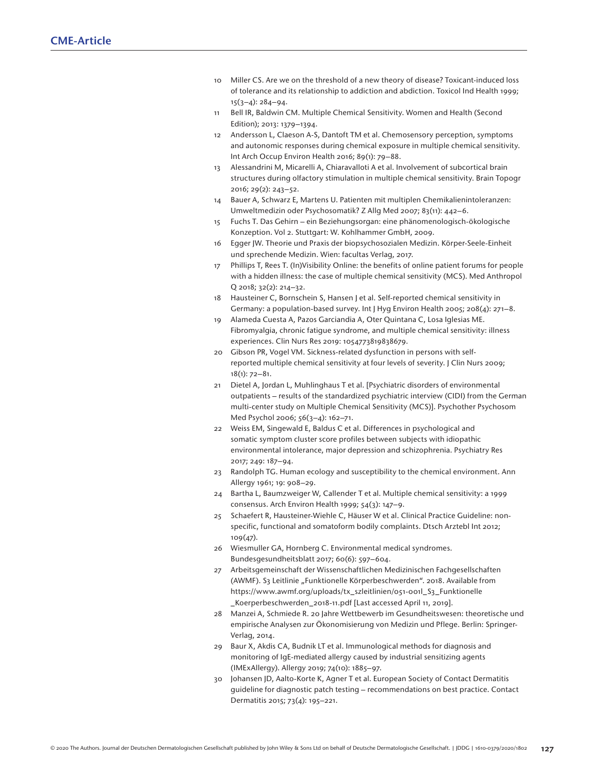- 10 Miller CS. Are we on the threshold of a new theory of disease? Toxicant-induced loss of tolerance and its relationship to addiction and abdiction. Toxicol Ind Health 1999; 15(3–4): 284–94.
- 11 Bell IR, Baldwin CM. Multiple Chemical Sensitivity. Women and Health (Second Edition); 2013: 1379–1394.
- 12 Andersson L, Claeson A-S, Dantoft TM et al. Chemosensory perception, symptoms and autonomic responses during chemical exposure in multiple chemical sensitivity. Int Arch Occup Environ Health 2016; 89(1): 79–88.
- 13 Alessandrini M, Micarelli A, Chiaravalloti A et al. Involvement of subcortical brain structures during olfactory stimulation in multiple chemical sensitivity. Brain Topogr 2016; 29(2): 243–52.
- 14 Bauer A, Schwarz E, Martens U. Patienten mit multiplen Chemikalienintoleranzen: Umweltmedizin oder Psychosomatik? Z Allg Med 2007; 83(11): 442–6.
- 15 Fuchs T. Das Gehirn ein Beziehungsorgan: eine phänomenologisch-ökologische Konzeption. Vol 2. Stuttgart: W. Kohlhammer GmbH, 2009.
- 16 Egger JW. Theorie und Praxis der biopsychosozialen Medizin. Körper-Seele-Einheit und sprechende Medizin. Wien: facultas Verlag, 2017.
- 17 Phillips T, Rees T. (In)Visibility Online: the benefits of online patient forums for people with a hidden illness: the case of multiple chemical sensitivity (MCS). Med Anthropol Q 2018; 32(2): 214–32.
- 18 Hausteiner C, Bornschein S, Hansen J et al. Self-reported chemical sensitivity in Germany: a population-based survey. Int J Hyg Environ Health 2005; 208(4): 271–8.
- 19 Alameda Cuesta A, Pazos Garciandia A, Oter Quintana C, Losa Iglesias ME. Fibromyalgia, chronic fatigue syndrome, and multiple chemical sensitivity: illness experiences. Clin Nurs Res 2019: 1054773819838679.
- 20 Gibson PR, Vogel VM. Sickness-related dysfunction in persons with selfreported multiple chemical sensitivity at four levels of severity. J Clin Nurs 2009; 18(1): 72–81.
- 21 Dietel A, Jordan L, Muhlinghaus T et al. [Psychiatric disorders of environmental outpatients – results of the standardized psychiatric interview (CIDI) from the German multi-center study on Multiple Chemical Sensitivity (MCS)]. Psychother Psychosom Med Psychol 2006; 56(3–4): 162–71.
- 22 Weiss EM, Singewald E, Baldus C et al. Differences in psychological and somatic symptom cluster score profiles between subjects with idiopathic environmental intolerance, major depression and schizophrenia. Psychiatry Res 2017; 249: 187–94.
- 23 Randolph TG. Human ecology and susceptibility to the chemical environment. Ann Allergy 1961; 19: 908–29.
- 24 Bartha L, Baumzweiger W, Callender T et al. Multiple chemical sensitivity: a 1999 consensus. Arch Environ Health 1999; 54(3): 147–9.
- 25 Schaefert R, Hausteiner-Wiehle C, Häuser W et al. Clinical Practice Guideline: nonspecific, functional and somatoform bodily complaints. Dtsch Arztebl Int 2012;  $109(47)$ .
- 26 Wiesmuller GA, Hornberg C. Environmental medical syndromes. Bundesgesundheitsblatt 2017; 60(6): 597–604.
- 27 Arbeitsgemeinschaft der Wissenschaftlichen Medizinischen Fachgesellschaften (AWMF). S3 Leitlinie "Funktionelle Körperbeschwerden". 2018. Available from https://www.awmf.org/uploads/tx\_szleitlinien/051-001l\_S3\_Funktionelle \_Koerperbeschwerden\_2018-11.pdf [Last accessed April 11, 2019].
- 28 Manzei A, Schmiede R. 20 Jahre Wettbewerb im Gesundheitswesen: theoretische und empirische Analysen zur Ökonomisierung von Medizin und Pflege. Berlin: Springer-Verlag, 2014.
- 29 Baur X, Akdis CA, Budnik LT et al. Immunological methods for diagnosis and monitoring of IgE-mediated allergy caused by industrial sensitizing agents (IMExAllergy). Allergy 2019; 74(10): 1885–97.
- 30 Johansen JD, Aalto-Korte K, Agner T et al. European Society of Contact Dermatitis guideline for diagnostic patch testing – recommendations on best practice. Contact Dermatitis 2015; 73(4): 195–221.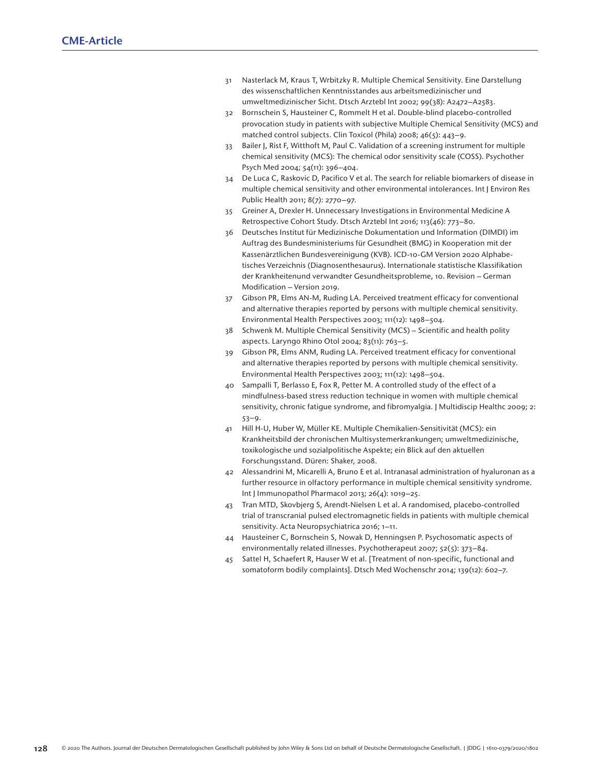- 31 Nasterlack M, Kraus T, Wrbitzky R. Multiple Chemical Sensitivity. Eine Darstellung des wissenschaftlichen Kenntnisstandes aus arbeitsmedizinischer und umweltmedizinischer Sicht. Dtsch Arztebl Int 2002; 99(38): A2472–A2583.
- 32 Bornschein S, Hausteiner C, Rommelt H et al. Double-blind placebo-controlled provocation study in patients with subjective Multiple Chemical Sensitivity (MCS) and matched control subjects. Clin Toxicol (Phila) 2008; 46(5): 443–9.
- 33 Bailer J, Rist F, Witthoft M, Paul C. Validation of a screening instrument for multiple chemical sensitivity (MCS): The chemical odor sensitivity scale (COSS). Psychother Psych Med 2004; 54(11): 396–404.
- 34 De Luca C, Raskovic D, Pacifico V et al. The search for reliable biomarkers of disease in multiple chemical sensitivity and other environmental intolerances. Int J Environ Res Public Health 2011; 8(7): 2770–97.
- 35 Greiner A, Drexler H. Unnecessary Investigations in Environmental Medicine A Retrospective Cohort Study. Dtsch Arztebl Int 2016; 113(46): 773–80.
- 36 Deutsches Institut für Medizinische Dokumentation und Information (DIMDI) im Auftrag des Bundesministeriums für Gesundheit (BMG) in Kooperation mit der Kassenärztlichen Bundesvereinigung (KVB). ICD-10-GM Version 2020 Alphabetisches Verzeichnis (Diagnosenthesaurus). Internationale statistische Klassifikation der Krankheitenund verwandter Gesundheitsprobleme, 10. Revision – German Modification – Version 2019.
- 37 Gibson PR, Elms AN-M, Ruding LA. Perceived treatment efficacy for conventional and alternative therapies reported by persons with multiple chemical sensitivity. Environmental Health Perspectives 2003; 111(12): 1498–504.
- 38 Schwenk M. Multiple Chemical Sensitivity (MCS) Scientific and health polity aspects. Laryngo Rhino Otol 2004; 83(11): 763–5.
- 39 Gibson PR, Elms ANM, Ruding LA. Perceived treatment efficacy for conventional and alternative therapies reported by persons with multiple chemical sensitivity. Environmental Health Perspectives 2003; 111(12): 1498–504.
- 40 Sampalli T, Berlasso E, Fox R, Petter M. A controlled study of the effect of a mindfulness-based stress reduction technique in women with multiple chemical sensitivity, chronic fatigue syndrome, and fibromyalgia. J Multidiscip Healthc 2009; 2: 53–9.
- 41 Hill H-U, Huber W, Müller KE. Multiple Chemikalien-Sensitivität (MCS): ein Krankheitsbild der chronischen Multisystemerkrankungen; umweltmedizinische, toxikologische und sozialpolitische Aspekte; ein Blick auf den aktuellen Forschungsstand. Düren: Shaker, 2008.
- 42 Alessandrini M, Micarelli A, Bruno E et al. Intranasal administration of hyaluronan as a further resource in olfactory performance in multiple chemical sensitivity syndrome. Int J Immunopathol Pharmacol 2013; 26(4): 1019–25.
- 43 Tran MTD, Skovbjerg S, Arendt-Nielsen L et al. A randomised, placebo-controlled trial of transcranial pulsed electromagnetic fields in patients with multiple chemical sensitivity. Acta Neuropsychiatrica 2016; 1–11.
- 44 Hausteiner C, Bornschein S, Nowak D, Henningsen P. Psychosomatic aspects of environmentally related illnesses. Psychotherapeut 2007; 52(5): 373–84.
- 45 Sattel H, Schaefert R, Hauser W et al. [Treatment of non-specific, functional and somatoform bodily complaints]. Dtsch Med Wochenschr 2014; 139(12): 602–7.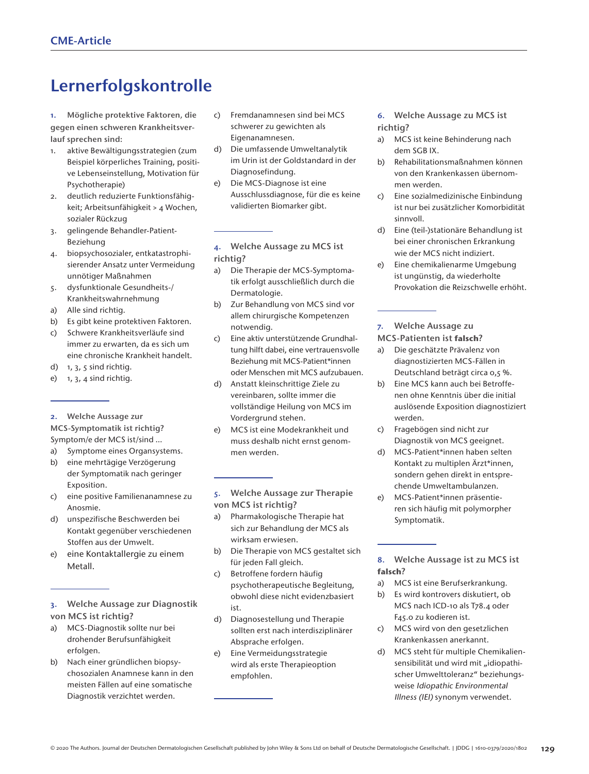# Lernerfolgskontrolle

1. Mögliche protektive Faktoren, die gegen einen schweren Krankheitsverlauf sprechen sind:

- 1. aktive Bewältigungsstrategien (zum Beispiel körperliches Training, positive Lebenseinstellung, Motivation für Psychotherapie)
- 2. deutlich reduzierte Funktionsfähigkeit; Arbeitsunfähigkeit > 4 Wochen, sozialer Rückzug
- 3. gelingende Behandler-Patient-Beziehung
- 4. biopsychosozialer, entkatastrophisierender Ansatz unter Vermeidung unnötiger Maßnahmen
- 5. dysfunktionale Gesundheits-/ Krankheitswahrnehmung
- a) Alle sind richtig.
- b) Es gibt keine protektiven Faktoren.
- c) Schwere Krankheitsverläufe sind immer zu erwarten, da es sich um eine chronische Krankheit handelt.
- d)  $1, 3, 5$  sind richtig.
- e)  $1, 3, 4$  sind richtig.
- 2. Welche Aussage zur

MCS-Symptomatik ist richtig? Symptom/e der MCS ist/sind …

- a) Symptome eines Organsystems.
- b) eine mehrtägige Verzögerung der Symptomatik nach geringer Exposition.
- c) eine positive Familienanamnese zu Anosmie.
- d) unspezifische Beschwerden bei Kontakt gegenüber verschiedenen Stoffen aus der Umwelt.
- eine Kontaktallergie zu einem Metall.
- 3. Welche Aussage zur Diagnostik von MCS ist richtig?
- a) MCS-Diagnostik sollte nur bei drohender Berufsunfähigkeit erfolgen.
- b) Nach einer gründlichen biopsychosozialen Anamnese kann in den meisten Fällen auf eine somatische Diagnostik verzichtet werden.
- c) Fremdanamnesen sind bei MCS schwerer zu gewichten als Eigenanamnesen.
- d) Die umfassende Umweltanalytik im Urin ist der Goldstandard in der Diagnosefindung.
- e) Die MCS-Diagnose ist eine Ausschlussdiagnose, für die es keine validierten Biomarker gibt.
- 4. Welche Aussage zu MCS ist richtig?
- a) Die Therapie der MCS-Symptomatik erfolgt ausschließlich durch die Dermatologie.
- b) Zur Behandlung von MCS sind vor allem chirurgische Kompetenzen notwendig.
- c) Eine aktiv unterstützende Grundhaltung hilft dabei, eine vertrauensvolle Beziehung mit MCS-Patient\*innen oder Menschen mit MCS aufzubauen.
- d) Anstatt kleinschrittige Ziele zu vereinbaren, sollte immer die vollständige Heilung von MCS im Vordergrund stehen.
- e) MCS ist eine Modekrankheit und muss deshalb nicht ernst genommen werden.

5. Welche Aussage zur Therapie von MCS ist richtig?

- a) Pharmakologische Therapie hat sich zur Behandlung der MCS als wirksam erwiesen.
- b) Die Therapie von MCS gestaltet sich für jeden Fall gleich.
- c) Betroffene fordern häufig psychotherapeutische Begleitung, obwohl diese nicht evidenzbasiert ist.
- d) Diagnosestellung und Therapie sollten erst nach interdisziplinärer Absprache erfolgen.
- e) Eine Vermeidungsstrategie wird als erste Therapieoption empfohlen.

#### 6. Welche Aussage zu MCS ist richtig?

- a) MCS ist keine Behinderung nach dem SGB IX.
- b) Rehabilitationsmaßnahmen können von den Krankenkassen übernommen werden.
- c) Eine sozialmedizinische Einbindung ist nur bei zusätzlicher Komorbidität sinnvoll.
- d) Eine (teil-)stationäre Behandlung ist bei einer chronischen Erkrankung wie der MCS nicht indiziert.
- e) Eine chemikalienarme Umgebung ist ungünstig, da wiederholte Provokation die Reizschwelle erhöht.

### 7. Welche Aussage zu

- MCS-Patienten ist **falsch**?
- a) Die geschätzte Prävalenz von diagnostizierten MCS-Fällen in Deutschland beträgt circa 0,5 %.
- b) Eine MCS kann auch bei Betroffenen ohne Kenntnis über die initial auslösende Exposition diagnostiziert werden.
- c) Fragebögen sind nicht zur Diagnostik von MCS geeignet.
- d) MCS-Patient\*innen haben selten Kontakt zu multiplen Ärzt\*innen, sondern gehen direkt in entsprechende Umweltambulanzen.
- e) MCS-Patient\*innen präsentieren sich häufig mit polymorpher Symptomatik.

### 8. Welche Aussage ist zu MCS ist **falsch**?

- a) MCS ist eine Berufserkrankung.
- b) Es wird kontrovers diskutiert, ob MCS nach ICD-10 als T78.4 oder F45.0 zu kodieren ist.
- c) MCS wird von den gesetzlichen Krankenkassen anerkannt.
- d) MCS steht für multiple Chemikaliensensibilität und wird mit "idiopathischer Umwelttoleranz" beziehungsweise Idiopathic Environmental Illness (IEI) synonym verwendet.